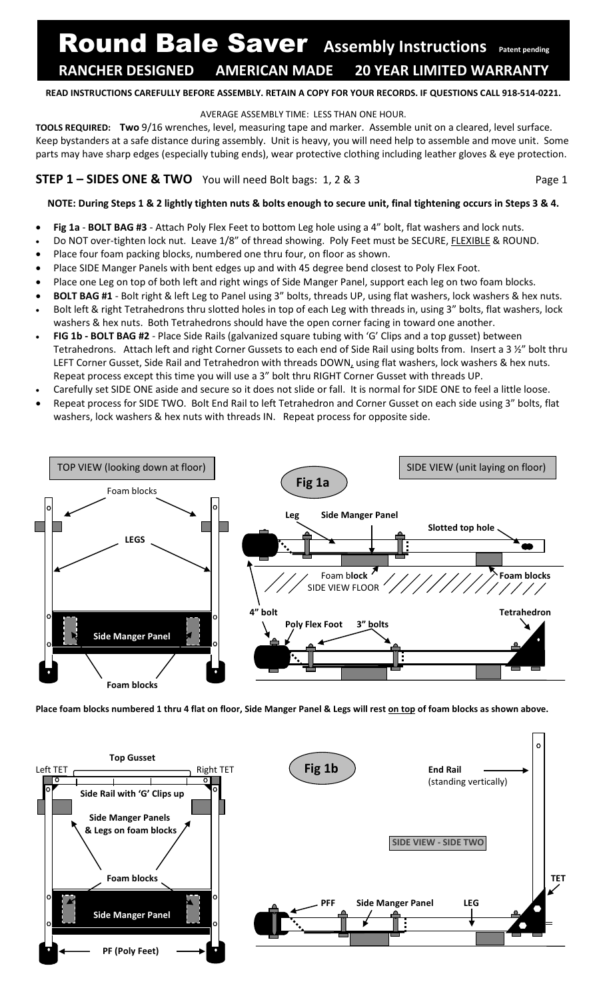# Round Bale Saver Assembly Instructions Patent pending **RANCHER DESIGNED AMERICAN MADE 20 YEAR LIMITED WARRANTY\* RANCHER DESIGNED AMERICAN MADE 20 YEAR LIMITED WARRANTY**

#### **READ INSTRUCTIONS CAREFULLY BEFORE ASSEMBLY. RETAIN A COPY FOR YOUR RECORDS. IF QUESTIONS CALL 918-514-0221.**

#### AVERAGE ASSEMBLY TIME: LESS THAN ONE HOUR.

**TOOLS REQUIRED: Two** 9/16 wrenches, level, measuring tape and marker. Assemble unit on a cleared, level surface. Keep bystanders at a safe distance during assembly. Unit is heavy, you will need help to assemble and move unit. Some parts may have sharp edges (especially tubing ends), wear protective clothing including leather gloves & eye protection.

## **STEP 1 – SIDES ONE & TWO** You will need Bolt bags: 1, 2 & 3 Page 1

#### **NOTE: During Steps 1 & 2 lightly tighten nuts & bolts enough to secure unit, final tightening occurs in Steps 3 & 4.**

- **Fig 1a BOLT BAG #3** Attach Poly Flex Feet to bottom Leg hole using a 4" bolt, flat washers and lock nuts.
- Do NOT over-tighten lock nut. Leave 1/8" of thread showing. Poly Feet must be SECURE, FLEXIBLE & ROUND.
- Place four foam packing blocks, numbered one thru four, on floor as shown.
- Place SIDE Manger Panels with bent edges up and with 45 degree bend closest to Poly Flex Foot.
- Place one Leg on top of both left and right wings of Side Manger Panel, support each leg on two foam blocks.
- **BOLT BAG #1** Bolt right & left Leg to Panel using 3" bolts, threads UP, using flat washers, lock washers & hex nuts.
- Bolt left & right Tetrahedrons thru slotted holes in top of each Leg with threads in, using 3" bolts, flat washers, lock washers & hex nuts. Both Tetrahedrons should have the open corner facing in toward one another.
- **FIG 1b - BOLT BAG #2** Place Side Rails (galvanized square tubing with 'G' Clips and a top gusset) between Tetrahedrons. Attach left and right Corner Gussets to each end of Side Rail using bolts from. Insert a 3 ½" bolt thru LEFT Corner Gusset, Side Rail and Tetrahedron with threads DOWN, using flat washers, lock washers & hex nuts. Repeat process except this time you will use a 3" bolt thru RIGHT Corner Gusset with threads UP.
- Carefully set SIDE ONE aside and secure so it does not slide or fall. It is normal for SIDE ONE to feel a little loose.
- Repeat process for SIDE TWO. Bolt End Rail to left Tetrahedron and Corner Gusset on each side using 3" bolts, flat washers, lock washers & hex nuts with threads IN. Repeat process for opposite side.



**Place foam blocks numbered 1 thru 4 flat on floor, Side Manger Panel & Legs will rest on top of foam blocks as shown above.**

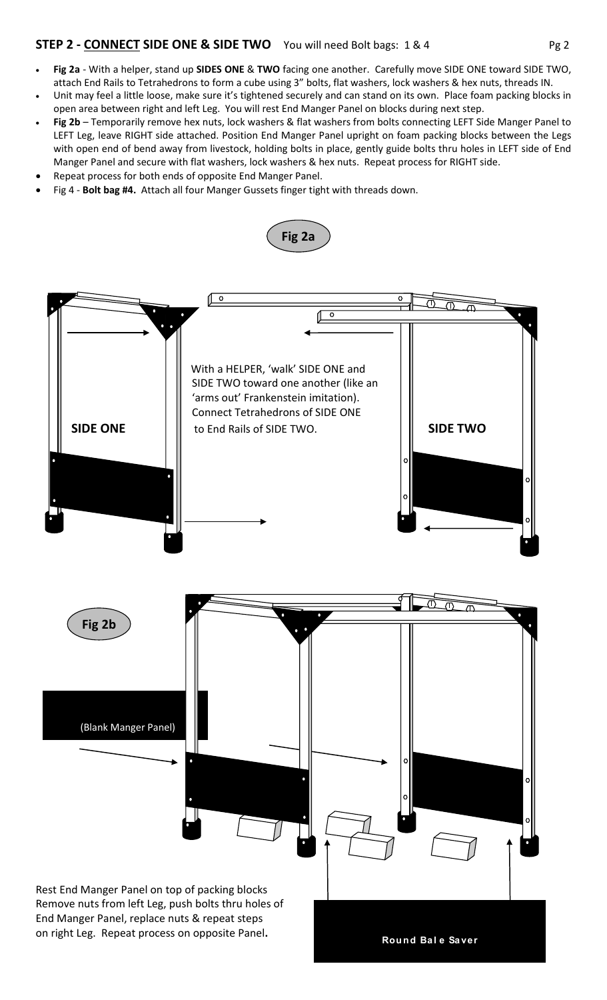## **STEP 2 - CONNECT SIDE ONE & SIDE TWO** You will need Bolt bags: 1 & 4 Pg 2

- **Fig 2a** With a helper, stand up **SIDES ONE** & **TWO** facing one another. Carefully move SIDE ONE toward SIDE TWO, attach End Rails to Tetrahedrons to form a cube using 3" bolts, flat washers, lock washers & hex nuts, threads IN.
- Unit may feel a little loose, make sure it's tightened securely and can stand on its own. Place foam packing blocks in open area between right and left Leg. You will rest End Manger Panel on blocks during next step.
- **Fig 2b** Temporarily remove hex nuts, lock washers & flat washers from bolts connecting LEFT Side Manger Panel to LEFT Leg, leave RIGHT side attached. Position End Manger Panel upright on foam packing blocks between the Legs with open end of bend away from livestock, holding bolts in place, gently guide bolts thru holes in LEFT side of End Manger Panel and secure with flat washers, lock washers & hex nuts. Repeat process for RIGHT side.
- Repeat process for both ends of opposite End Manger Panel.
- Fig 4 **Bolt bag #4.** Attach all four Manger Gussets finger tight with threads down.

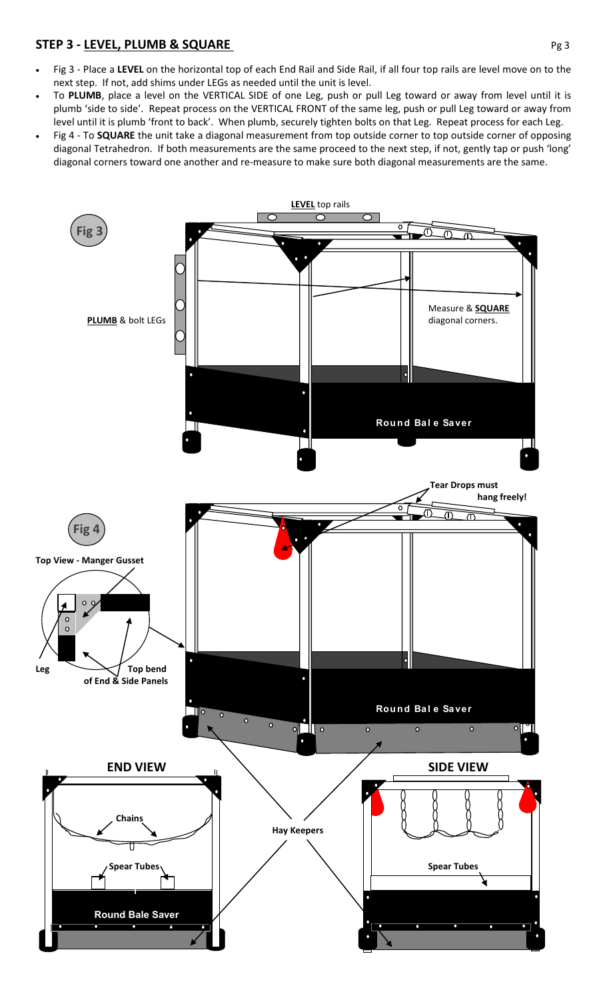## **STEP 3 - <u>LEVEL, PLUMB & SQUARE</u> Pg 3**

- Fig 3 Place a **LEVEL** on the horizontal top of each End Rail and Side Rail, if all four top rails are level move on to the next step. If not, add shims under LEGs as needed until the unit is level.
- To **PLUMB**, place a level on the VERTICAL SIDE of one Leg, push or pull Leg toward or away from level until it is plumb 'side to side'. Repeat process on the VERTICAL FRONT of the same leg, push or pull Leg toward or away from level until it is plumb 'front to back'. When plumb, securely tighten bolts on that Leg. Repeat process for each Leg.
- Fig 4 To **SQUARE** the unit take a diagonal measurement from top outside corner to top outside corner of opposing diagonal Tetrahedron. If both measurements are the same proceed to the next step, if not, gently tap or push 'long' diagonal corners toward one another and re-measure to make sure both diagonal measurements are the same.